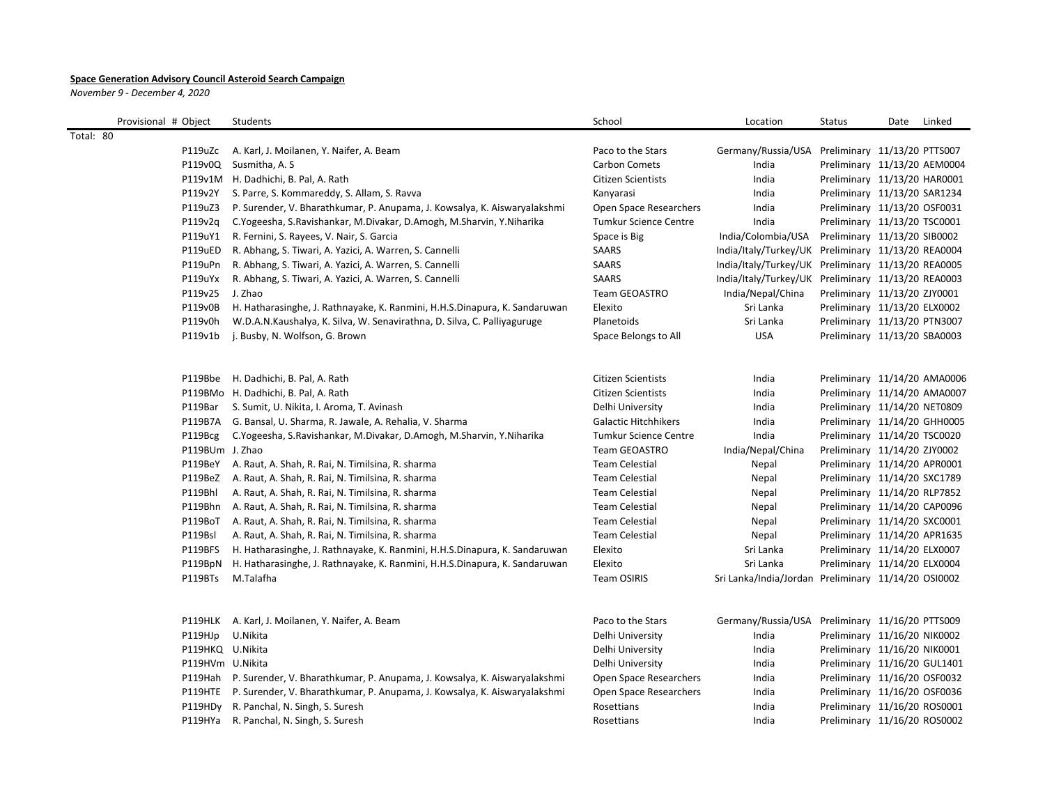## **Space Generation Advisory Council Asteroid Search Campaign**

*November 9 - December 4, 2020*

| Provisional # Object | Students                                                                           | School                       | Location                                            | <b>Status</b>                | Date | Linked |
|----------------------|------------------------------------------------------------------------------------|------------------------------|-----------------------------------------------------|------------------------------|------|--------|
| Total: 80            |                                                                                    |                              |                                                     |                              |      |        |
| P119uZc              | A. Karl, J. Moilanen, Y. Naifer, A. Beam                                           | Paco to the Stars            | Germany/Russia/USA Preliminary 11/13/20 PTTS007     |                              |      |        |
|                      | P119v0Q Susmitha, A. S                                                             | Carbon Comets                | India                                               | Preliminary 11/13/20 AEM0004 |      |        |
|                      | P119v1M H. Dadhichi, B. Pal, A. Rath                                               | <b>Citizen Scientists</b>    | India                                               | Preliminary 11/13/20 HAR0001 |      |        |
| P119v2Y              | S. Parre, S. Kommareddy, S. Allam, S. Ravva                                        | Kanyarasi                    | India                                               | Preliminary 11/13/20 SAR1234 |      |        |
| P119uZ3              | P. Surender, V. Bharathkumar, P. Anupama, J. Kowsalya, K. Aiswaryalakshmi          | Open Space Researchers       | India                                               | Preliminary 11/13/20 OSF0031 |      |        |
| P119v2q              | C. Yogeesha, S. Ravishankar, M. Divakar, D. Amogh, M. Sharvin, Y. Niharika         | <b>Tumkur Science Centre</b> | India                                               | Preliminary 11/13/20 TSC0001 |      |        |
| P119uY1              | R. Fernini, S. Rayees, V. Nair, S. Garcia                                          | Space is Big                 | India/Colombia/USA                                  | Preliminary 11/13/20 SIB0002 |      |        |
| P119uED              | R. Abhang, S. Tiwari, A. Yazici, A. Warren, S. Cannelli                            | SAARS                        | India/Italy/Turkey/UK Preliminary 11/13/20 REA0004  |                              |      |        |
| P119uPn              | R. Abhang, S. Tiwari, A. Yazici, A. Warren, S. Cannelli                            | SAARS                        | India/Italy/Turkey/UK Preliminary 11/13/20 REA0005  |                              |      |        |
| P119uYx              | R. Abhang, S. Tiwari, A. Yazici, A. Warren, S. Cannelli                            | SAARS                        | India/Italy/Turkey/UK Preliminary 11/13/20 REA0003  |                              |      |        |
| P119v25              | J. Zhao                                                                            | <b>Team GEOASTRO</b>         | India/Nepal/China                                   | Preliminary 11/13/20 ZJY0001 |      |        |
| P119v0B              | H. Hatharasinghe, J. Rathnayake, K. Ranmini, H.H.S.Dinapura, K. Sandaruwan         | Elexito                      | Sri Lanka                                           | Preliminary 11/13/20 ELX0002 |      |        |
| P119v0h              | W.D.A.N.Kaushalya, K. Silva, W. Senavirathna, D. Silva, C. Palliyaguruge           | Planetoids                   | Sri Lanka                                           | Preliminary 11/13/20 PTN3007 |      |        |
| P119v1b              | j. Busby, N. Wolfson, G. Brown                                                     | Space Belongs to All         | <b>USA</b>                                          | Preliminary 11/13/20 SBA0003 |      |        |
|                      |                                                                                    |                              |                                                     |                              |      |        |
|                      | P119Bbe H. Dadhichi, B. Pal, A. Rath                                               | Citizen Scientists           | India                                               | Preliminary 11/14/20 AMA0006 |      |        |
|                      | P119BMo H. Dadhichi, B. Pal, A. Rath                                               | <b>Citizen Scientists</b>    | India                                               | Preliminary 11/14/20 AMA0007 |      |        |
|                      | P119Bar S. Sumit, U. Nikita, I. Aroma, T. Avinash                                  | Delhi University             | India                                               | Preliminary 11/14/20 NET0809 |      |        |
|                      | P119B7A G. Bansal, U. Sharma, R. Jawale, A. Rehalia, V. Sharma                     | <b>Galactic Hitchhikers</b>  | India                                               | Preliminary 11/14/20 GHH0005 |      |        |
| P119Bcg              | C. Yogeesha, S. Ravishankar, M. Divakar, D. Amogh, M. Sharvin, Y. Niharika         | <b>Tumkur Science Centre</b> | India                                               | Preliminary 11/14/20 TSC0020 |      |        |
| P119BUm J. Zhao      |                                                                                    | Team GEOASTRO                | India/Nepal/China                                   | Preliminary 11/14/20 ZJY0002 |      |        |
| P119BeY              | A. Raut, A. Shah, R. Rai, N. Timilsina, R. sharma                                  | <b>Team Celestial</b>        | Nepal                                               | Preliminary 11/14/20 APR0001 |      |        |
|                      | P119BeZ A. Raut, A. Shah, R. Rai, N. Timilsina, R. sharma                          | <b>Team Celestial</b>        | Nepal                                               | Preliminary 11/14/20 SXC1789 |      |        |
| P119Bhl              | A. Raut, A. Shah, R. Rai, N. Timilsina, R. sharma                                  | <b>Team Celestial</b>        | Nepal                                               | Preliminary 11/14/20 RLP7852 |      |        |
| P119Bhn              | A. Raut, A. Shah, R. Rai, N. Timilsina, R. sharma                                  | <b>Team Celestial</b>        | Nepal                                               | Preliminary 11/14/20 CAP0096 |      |        |
| P119BoT              | A. Raut, A. Shah, R. Rai, N. Timilsina, R. sharma                                  | <b>Team Celestial</b>        | Nepal                                               | Preliminary 11/14/20 SXC0001 |      |        |
| P119Bsl              | A. Raut, A. Shah, R. Rai, N. Timilsina, R. sharma                                  | <b>Team Celestial</b>        | Nepal                                               | Preliminary 11/14/20 APR1635 |      |        |
| P119BFS              | H. Hatharasinghe, J. Rathnayake, K. Ranmini, H.H.S.Dinapura, K. Sandaruwan         | Elexito                      | Sri Lanka                                           | Preliminary 11/14/20 ELX0007 |      |        |
|                      | P119BpN H. Hatharasinghe, J. Rathnayake, K. Ranmini, H.H.S.Dinapura, K. Sandaruwan | Elexito                      | Sri Lanka                                           | Preliminary 11/14/20 ELX0004 |      |        |
| P119BTs              | M.Talafha                                                                          | <b>Team OSIRIS</b>           | Sri Lanka/India/Jordan Preliminary 11/14/20 OSI0002 |                              |      |        |
|                      |                                                                                    |                              |                                                     |                              |      |        |
|                      | P119HLK A. Karl, J. Moilanen, Y. Naifer, A. Beam                                   | Paco to the Stars            | Germany/Russia/USA Preliminary 11/16/20 PTTS009     |                              |      |        |
| P119HJp              | U.Nikita                                                                           | Delhi University             | India                                               | Preliminary 11/16/20 NIK0002 |      |        |
| P119HKQ U.Nikita     |                                                                                    | Delhi University             | India                                               | Preliminary 11/16/20 NIK0001 |      |        |
| P119HVm U.Nikita     |                                                                                    | Delhi University             | India                                               | Preliminary 11/16/20 GUL1401 |      |        |
|                      | P119Hah P. Surender, V. Bharathkumar, P. Anupama, J. Kowsalya, K. Aiswaryalakshmi  | Open Space Researchers       | India                                               | Preliminary 11/16/20 OSF0032 |      |        |
|                      | P119HTE P. Surender, V. Bharathkumar, P. Anupama, J. Kowsalya, K. Aiswaryalakshmi  | Open Space Researchers       | India                                               | Preliminary 11/16/20 OSF0036 |      |        |
|                      | P119HDy R. Panchal, N. Singh, S. Suresh                                            | Rosettians                   | India                                               | Preliminary 11/16/20 ROS0001 |      |        |
| P119HYa              | R. Panchal, N. Singh, S. Suresh                                                    | Rosettians                   | India                                               | Preliminary 11/16/20 ROS0002 |      |        |